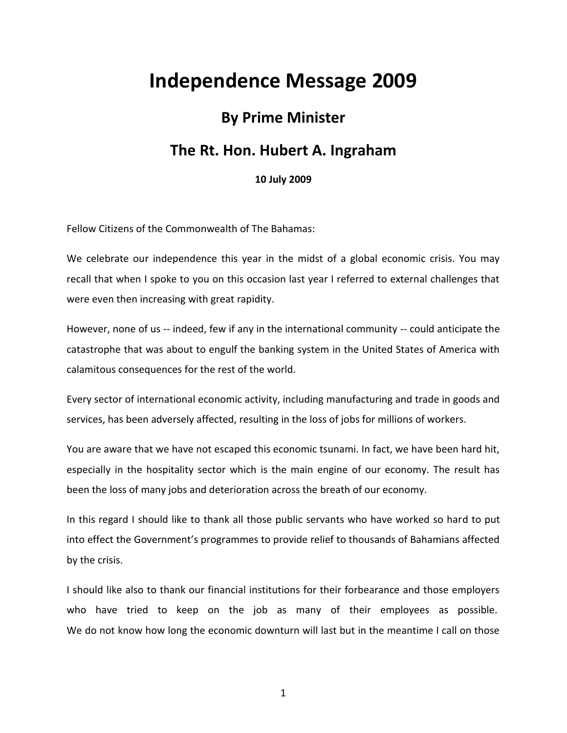## **Independence Message 2009**

## **By Prime Minister**

## **The Rt. Hon. Hubert A. Ingraham**

**10 July 2009**

Fellow Citizens of the Commonwealth of The Bahamas:

We celebrate our independence this year in the midst of a global economic crisis. You may recall that when I spoke to you on this occasion last year I referred to external challenges that were even then increasing with great rapidity.

However, none of us -- indeed, few if any in the international community -- could anticipate the catastrophe that was about to engulf the banking system in the United States of America with calamitous consequences for the rest of the world.

Every sector of international economic activity, including manufacturing and trade in goods and services, has been adversely affected, resulting in the loss of jobs for millions of workers.

You are aware that we have not escaped this economic tsunami. In fact, we have been hard hit, especially in the hospitality sector which is the main engine of our economy. The result has been the loss of many jobs and deterioration across the breath of our economy.

In this regard I should like to thank all those public servants who have worked so hard to put into effect the Government's programmes to provide relief to thousands of Bahamians affected by the crisis.

I should like also to thank our financial institutions for their forbearance and those employers who have tried to keep on the job as many of their employees as possible. We do not know how long the economic downturn will last but in the meantime I call on those

1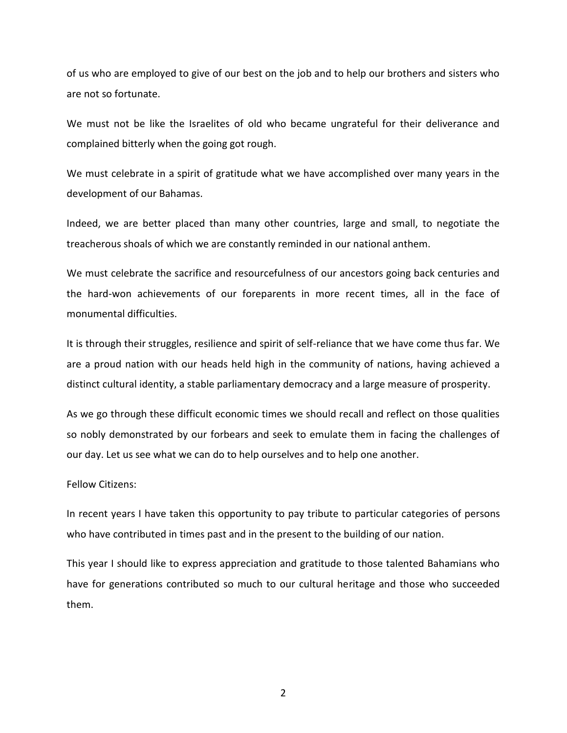of us who are employed to give of our best on the job and to help our brothers and sisters who are not so fortunate.

We must not be like the Israelites of old who became ungrateful for their deliverance and complained bitterly when the going got rough.

We must celebrate in a spirit of gratitude what we have accomplished over many years in the development of our Bahamas.

Indeed, we are better placed than many other countries, large and small, to negotiate the treacherous shoals of which we are constantly reminded in our national anthem.

We must celebrate the sacrifice and resourcefulness of our ancestors going back centuries and the hard-won achievements of our foreparents in more recent times, all in the face of monumental difficulties.

It is through their struggles, resilience and spirit of self-reliance that we have come thus far. We are a proud nation with our heads held high in the community of nations, having achieved a distinct cultural identity, a stable parliamentary democracy and a large measure of prosperity.

As we go through these difficult economic times we should recall and reflect on those qualities so nobly demonstrated by our forbears and seek to emulate them in facing the challenges of our day. Let us see what we can do to help ourselves and to help one another.

Fellow Citizens:

In recent years I have taken this opportunity to pay tribute to particular categories of persons who have contributed in times past and in the present to the building of our nation.

This year I should like to express appreciation and gratitude to those talented Bahamians who have for generations contributed so much to our cultural heritage and those who succeeded them.

2